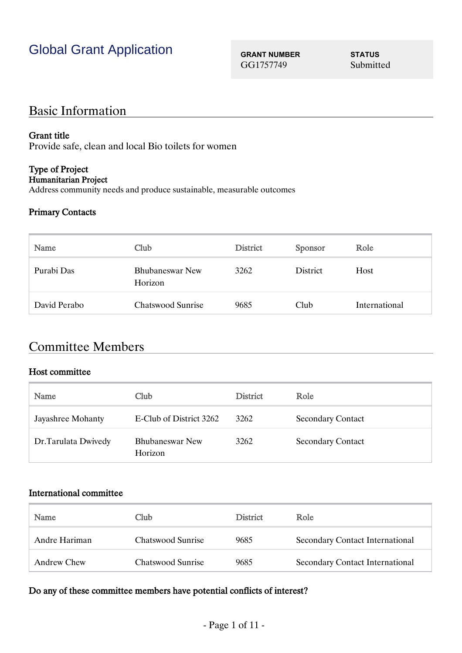GG1757749 Submitted

## Basic Information

#### Grant title

Provide safe, clean and local Bio toilets for women

## Type of Project

Humanitarian Project

Address community needs and produce sustainable, measurable outcomes

#### Primary Contacts

| Name         | Club                              | <b>District</b> | <b>Sponsor</b> | Role          |
|--------------|-----------------------------------|-----------------|----------------|---------------|
| Purabi Das   | <b>Bhubaneswar New</b><br>Horizon | 3262            | District       | Host          |
| David Perabo | <b>Chatswood Sunrise</b>          | 9685            | Club           | International |

## Committee Members

#### Host committee

| Name                | Club                              | <b>District</b> | Role                     |
|---------------------|-----------------------------------|-----------------|--------------------------|
| Jayashree Mohanty   | E-Club of District 3262           | 3262            | <b>Secondary Contact</b> |
| Dr.Tarulata Dwivedy | <b>Bhubaneswar New</b><br>Horizon | 3262            | <b>Secondary Contact</b> |

#### International committee

| Name          | Club.             | <b>District</b> | Role                                   |
|---------------|-------------------|-----------------|----------------------------------------|
| Andre Hariman | Chatswood Sunrise | 9685            | Secondary Contact International        |
| Andrew Chew   | Chatswood Sunrise | 9685            | <b>Secondary Contact International</b> |

#### Do any of these committee members have potential conflicts of interest?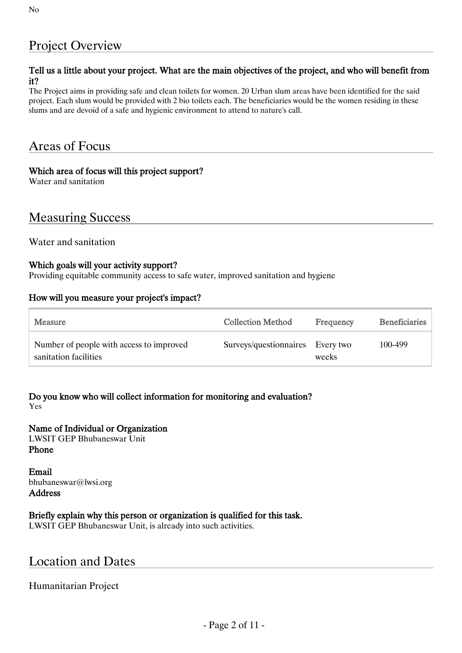## Project Overview

#### Tell us a little about your project. What are the main objectives of the project, and who will benefit from it?

The Project aims in providing safe and clean toilets for women. 20 Urban slum areas have been identified for the said project. Each slum would be provided with 2 bio toilets each. The beneficiaries would be the women residing in these slums and are devoid of a safe and hygienic environment to attend to nature's call.

## Areas of Focus

#### Which area of focus will this project support?

Water and sanitation

## Measuring Success

Water and sanitation

#### Which goals will your activity support?

Providing equitable community access to safe water, improved sanitation and hygiene

#### How will you measure your project's impact?

| Measure                                                           | <b>Collection Method</b>         | Frequency | <b>Beneficiaries</b> |
|-------------------------------------------------------------------|----------------------------------|-----------|----------------------|
| Number of people with access to improved<br>sanitation facilities | Surveys/questionnaires Every two | weeks     | 100-499              |

Do you know who will collect information for monitoring and evaluation? Yes

Name of Individual or Organization LWSIT GEP Bhubaneswar Unit Phone

Email bhubaneswar@lwsi.org Address

Briefly explain why this person or organization is qualified for this task.

LWSIT GEP Bhubaneswar Unit, is already into such activities.

### Location and Dates

#### Humanitarian Project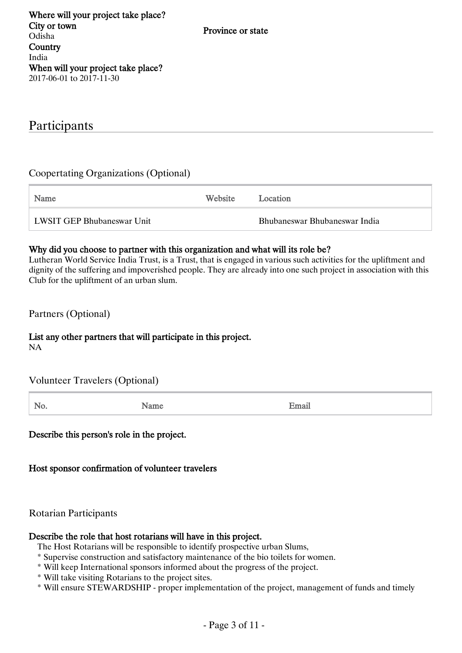## Participants

#### Coopertating Organizations (Optional)

Name Website Location LWSIT GEP Bhubaneswar Unit Bhubaneswar Bhubaneswar India

#### Why did you choose to partner with this organization and what will its role be?

Lutheran World Service India Trust, is a Trust, that is engaged in various such activities for the upliftment and dignity of the suffering and impoverished people. They are already into one such project in association with this Club for the upliftment of an urban slum.

Partners (Optional)

#### List any other partners that will participate in this project. NA

| Volunteer Travelers (Optional) |  |  |
|--------------------------------|--|--|
|                                |  |  |

No. Being the Same Name of the Second Email

Describe this person's role in the project.

Host sponsor confirmation of volunteer travelers

Rotarian Participants

#### Describe the role that host rotarians will have in this project.

The Host Rotarians will be responsible to identify prospective urban Slums,

- \* Supervise construction and satisfactory maintenance of the bio toilets for women.
- \* Will keep International sponsors informed about the progress of the project.
- \* Will take visiting Rotarians to the project sites.
- \* Will ensure STEWARDSHIP proper implementation of the project, management of funds and timely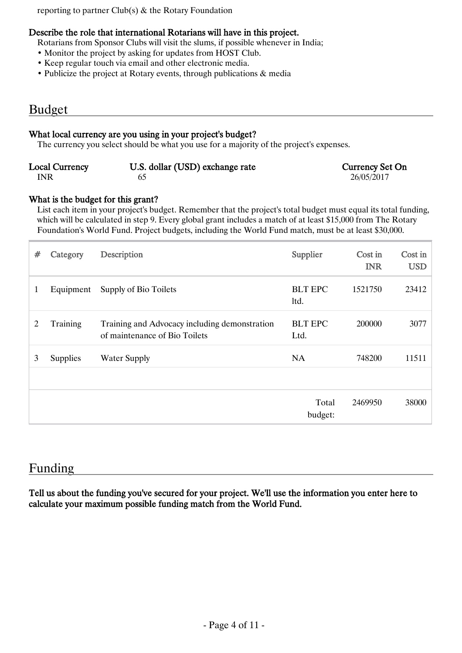reporting to partner Club(s) & the Rotary Foundation

#### Describe the role that international Rotarians will have in this project.

Rotarians from Sponsor Clubs will visit the slums, if possible whenever in India;

- Monitor the project by asking for updates from HOST Club.
- Keep regular touch via email and other electronic media.
- Publicize the project at Rotary events, through publications & media

#### Budget

#### What local currency are you using in your project's budget?

The currency you select should be what you use for a majority of the project's expenses.

| <b>Local Currency</b> | U.S. dollar (USD) exchange rate | <b>Currency Set On</b> |
|-----------------------|---------------------------------|------------------------|
| INR                   |                                 | 26/05/2017             |

#### What is the budget for this grant?

List each item in your project's budget. Remember that the project's total budget must equal its total funding, which will be calculated in step 9. Every global grant includes a match of at least \$15,000 from The Rotary Foundation's World Fund. Project budgets, including the World Fund match, must be at least \$30,000.

| # | Category        | Description                                                                    | Supplier               | Cost in<br><b>INR</b> | Cost in<br><b>USD</b> |
|---|-----------------|--------------------------------------------------------------------------------|------------------------|-----------------------|-----------------------|
| 1 | Equipment       | Supply of Bio Toilets                                                          | <b>BLT EPC</b><br>ltd. | 1521750               | 23412                 |
| 2 | Training        | Training and Advocacy including demonstration<br>of maintenance of Bio Toilets | <b>BLT EPC</b><br>Ltd. | 200000                | 3077                  |
| 3 | <b>Supplies</b> | <b>Water Supply</b>                                                            | <b>NA</b>              | 748200                | 11511                 |
|   |                 |                                                                                |                        |                       |                       |
|   |                 |                                                                                | Total<br>budget:       | 2469950               | 38000                 |

### Funding

Tell us about the funding you've secured for your project. We'll use the information you enter here to calculate your maximum possible funding match from the World Fund.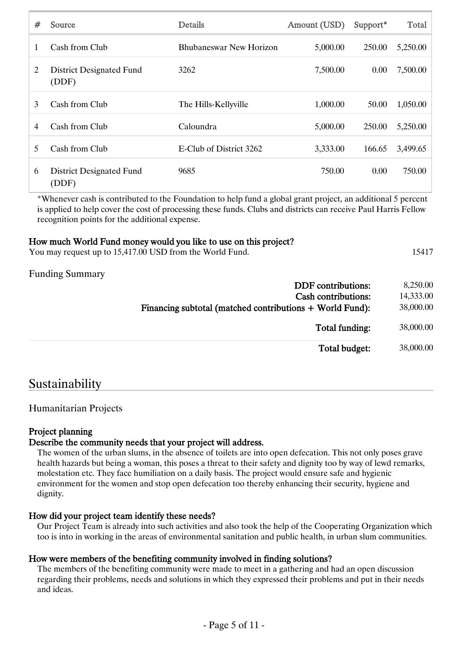| #  | Source                                   | <b>Details</b>          | Amount (USD) | Support* | Total    |
|----|------------------------------------------|-------------------------|--------------|----------|----------|
| 1  | Cash from Club                           | Bhubaneswar New Horizon | 5,000.00     | 250.00   | 5,250.00 |
| 2  | <b>District Designated Fund</b><br>(DDF) | 3262                    | 7,500.00     | 0.00     | 7,500.00 |
| 3  | Cash from Club                           | The Hills-Kellyville    | 1,000.00     | 50.00    | 1,050.00 |
| 4  | Cash from Club                           | Caloundra               | 5,000.00     | 250.00   | 5,250.00 |
| 5. | Cash from Club                           | E-Club of District 3262 | 3,333.00     | 166.65   | 3,499.65 |
| 6  | <b>District Designated Fund</b><br>(DDF) | 9685                    | 750.00       | 0.00     | 750.00   |

\*Whenever cash is contributed to the Foundation to help fund a global grant project, an additional 5 percent is applied to help cover the cost of processing these funds. Clubs and districts can receive Paul Harris Fellow recognition points for the additional expense.

#### How much World Fund money would you like to use on this project?

You may request up to 15,417.00 USD from the World Fund. 15417

Funding Summary

| <b>DDF</b> contributions:                                | 8,250.00  |
|----------------------------------------------------------|-----------|
| <b>Cash contributions:</b>                               | 14,333.00 |
| Financing subtotal (matched contributions + World Fund): | 38,000.00 |
| Total funding:                                           | 38,000.00 |
| Total budget:                                            | 38,000.00 |

### Sustainability

#### Humanitarian Projects

#### Project planning

#### Describe the community needs that your project will address.

The women of the urban slums, in the absence of toilets are into open defecation. This not only poses grave health hazards but being a woman, this poses a threat to their safety and dignity too by way of lewd remarks, molestation etc. They face humiliation on a daily basis. The project would ensure safe and hygienic environment for the women and stop open defecation too thereby enhancing their security, hygiene and dignity.

#### How did your project team identify these needs?

Our Project Team is already into such activities and also took the help of the Cooperating Organization which too is into in working in the areas of environmental sanitation and public health, in urban slum communities.

#### How were members of the benefiting community involved in finding solutions?

The members of the benefiting community were made to meet in a gathering and had an open discussion regarding their problems, needs and solutions in which they expressed their problems and put in their needs and ideas.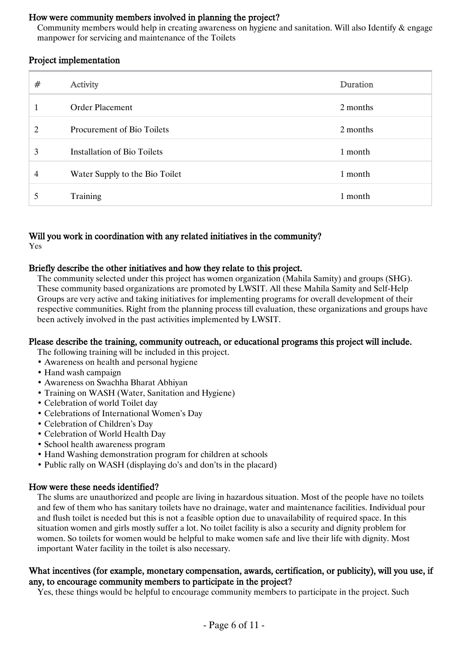#### How were community members involved in planning the project?

Community members would help in creating awareness on hygiene and sanitation. Will also Identify & engage manpower for servicing and maintenance of the Toilets

#### Project implementation

| # | Activity                          | Duration |
|---|-----------------------------------|----------|
| 1 | <b>Order Placement</b>            | 2 months |
| 2 | <b>Procurement of Bio Toilets</b> | 2 months |
| 3 | Installation of Bio Toilets       | 1 month  |
| 4 | Water Supply to the Bio Toilet    | 1 month  |
| 5 | Training                          | 1 month  |

### Will you work in coordination with any related initiatives in the community?

Yes

#### Briefly describe the other initiatives and how they relate to this project.

The community selected under this project has women organization (Mahila Samity) and groups (SHG). These community based organizations are promoted by LWSIT. All these Mahila Samity and Self-Help Groups are very active and taking initiatives for implementing programs for overall development of their respective communities. Right from the planning process till evaluation, these organizations and groups have been actively involved in the past activities implemented by LWSIT.

#### Please describe the training, community outreach, or educational programs this project will include.

The following training will be included in this project.

- Awareness on health and personal hygiene
- Hand wash campaign
- Awareness on Swachha Bharat Abhiyan
- Training on WASH (Water, Sanitation and Hygiene)
- Celebration of world Toilet day
- Celebrations of International Women's Day
- Celebration of Children's Day
- Celebration of World Health Day
- School health awareness program
- Hand Washing demonstration program for children at schools
- Public rally on WASH (displaying do's and don'ts in the placard)

#### How were these needs identified?

The slums are unauthorized and people are living in hazardous situation. Most of the people have no toilets and few of them who has sanitary toilets have no drainage, water and maintenance facilities. Individual pour and flush toilet is needed but this is not a feasible option due to unavailability of required space. In this situation women and girls mostly suffer a lot. No toilet facility is also a security and dignity problem for women. So toilets for women would be helpful to make women safe and live their life with dignity. Most important Water facility in the toilet is also necessary.

#### What incentives (for example, monetary compensation, awards, certification, or publicity), will you use, if any, to encourage community members to participate in the project?

Yes, these things would be helpful to encourage community members to participate in the project. Such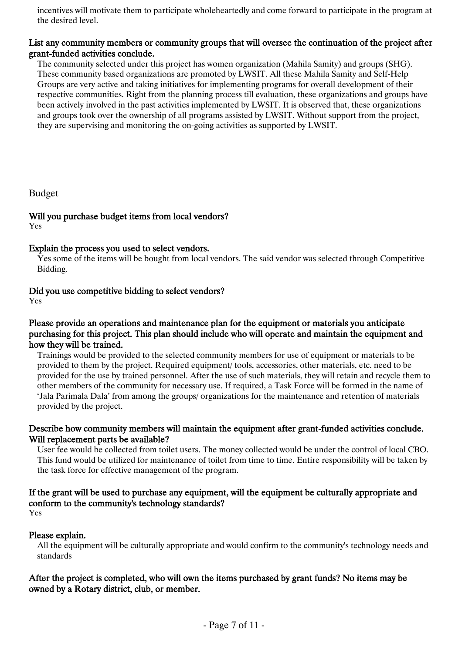incentives will motivate them to participate wholeheartedly and come forward to participate in the program at the desired level.

#### List any community members or community groups that will oversee the continuation of the project after grant-funded activities conclude.

The community selected under this project has women organization (Mahila Samity) and groups (SHG). These community based organizations are promoted by LWSIT. All these Mahila Samity and Self-Help Groups are very active and taking initiatives for implementing programs for overall development of their respective communities. Right from the planning process till evaluation, these organizations and groups have been actively involved in the past activities implemented by LWSIT. It is observed that, these organizations and groups took over the ownership of all programs assisted by LWSIT. Without support from the project, they are supervising and monitoring the on-going activities as supported by LWSIT.

Budget

### Will you purchase budget items from local vendors?

Yes

#### Explain the process you used to select vendors.

Yes some of the items will be bought from local vendors. The said vendor was selected through Competitive Bidding.

#### Did you use competitive bidding to select vendors?

Yes

#### Please provide an operations and maintenance plan for the equipment or materials you anticipate purchasing for this project. This plan should include who will operate and maintain the equipment and how they will be trained.

Trainings would be provided to the selected community members for use of equipment or materials to be provided to them by the project. Required equipment/ tools, accessories, other materials, etc. need to be provided for the use by trained personnel. After the use of such materials, they will retain and recycle them to other members of the community for necessary use. If required, a Task Force will be formed in the name of 'Jala Parimala Dala' from among the groups/ organizations for the maintenance and retention of materials provided by the project.

#### Describe how community members will maintain the equipment after grant-funded activities conclude. Will replacement parts be available?

User fee would be collected from toilet users. The money collected would be under the control of local CBO. This fund would be utilized for maintenance of toilet from time to time. Entire responsibility will be taken by the task force for effective management of the program.

#### If the grant will be used to purchase any equipment, will the equipment be culturally appropriate and conform to the community's technology standards?

Yes

#### Please explain.

All the equipment will be culturally appropriate and would confirm to the community's technology needs and standards

#### After the project is completed, who will own the items purchased by grant funds? No items may be owned by a Rotary district, club, or member.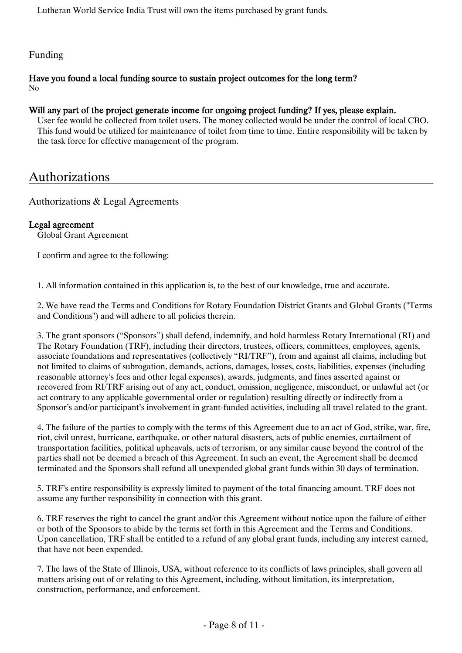Lutheran World Service India Trust will own the items purchased by grant funds.

#### Funding

#### Have you found a local funding source to sustain project outcomes for the long term? No

#### Will any part of the project generate income for ongoing project funding? If yes, please explain.

User fee would be collected from toilet users. The money collected would be under the control of local CBO. This fund would be utilized for maintenance of toilet from time to time. Entire responsibility will be taken by the task force for effective management of the program.

## Authorizations

Authorizations & Legal Agreements

#### Legal agreement

Global Grant Agreement

I confirm and agree to the following:

1. All information contained in this application is, to the best of our knowledge, true and accurate.

2. We have read the Terms and Conditions for Rotary Foundation District Grants and Global Grants ("Terms and Conditions") and will adhere to all policies therein.

3. The grant sponsors ("Sponsors") shall defend, indemnify, and hold harmless Rotary International (RI) and The Rotary Foundation (TRF), including their directors, trustees, officers, committees, employees, agents, associate foundations and representatives (collectively "RI/TRF"), from and against all claims, including but not limited to claims of subrogation, demands, actions, damages, losses, costs, liabilities, expenses (including reasonable attorney's fees and other legal expenses), awards, judgments, and fines asserted against or recovered from RI/TRF arising out of any act, conduct, omission, negligence, misconduct, or unlawful act (or act contrary to any applicable governmental order or regulation) resulting directly or indirectly from a Sponsor's and/or participant's involvement in grant-funded activities, including all travel related to the grant.

4. The failure of the parties to comply with the terms of this Agreement due to an act of God, strike, war, fire, riot, civil unrest, hurricane, earthquake, or other natural disasters, acts of public enemies, curtailment of transportation facilities, political upheavals, acts of terrorism, or any similar cause beyond the control of the parties shall not be deemed a breach of this Agreement. In such an event, the Agreement shall be deemed terminated and the Sponsors shall refund all unexpended global grant funds within 30 days of termination.

5. TRF's entire responsibility is expressly limited to payment of the total financing amount. TRF does not assume any further responsibility in connection with this grant.

6. TRF reserves the right to cancel the grant and/or this Agreement without notice upon the failure of either or both of the Sponsors to abide by the terms set forth in this Agreement and the Terms and Conditions. Upon cancellation, TRF shall be entitled to a refund of any global grant funds, including any interest earned, that have not been expended.

7. The laws of the State of Illinois, USA, without reference to its conflicts of laws principles, shall govern all matters arising out of or relating to this Agreement, including, without limitation, its interpretation, construction, performance, and enforcement.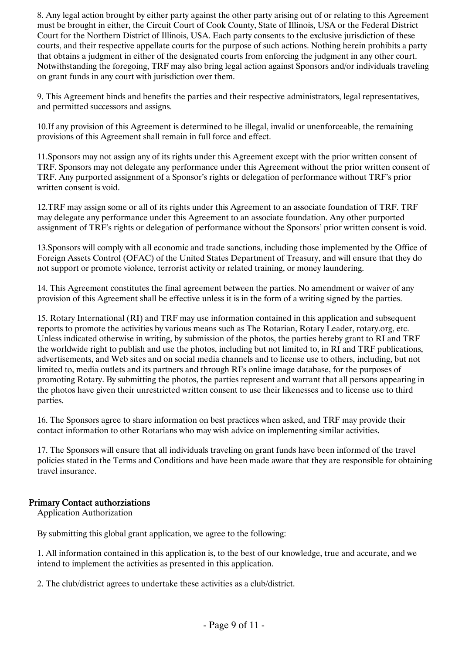8. Any legal action brought by either party against the other party arising out of or relating to this Agreement must be brought in either, the Circuit Court of Cook County, State of Illinois, USA or the Federal District Court for the Northern District of Illinois, USA. Each party consents to the exclusive jurisdiction of these courts, and their respective appellate courts for the purpose of such actions. Nothing herein prohibits a party that obtains a judgment in either of the designated courts from enforcing the judgment in any other court. Notwithstanding the foregoing, TRF may also bring legal action against Sponsors and/or individuals traveling on grant funds in any court with jurisdiction over them.

9. This Agreement binds and benefits the parties and their respective administrators, legal representatives, and permitted successors and assigns.

10.If any provision of this Agreement is determined to be illegal, invalid or unenforceable, the remaining provisions of this Agreement shall remain in full force and effect.

11.Sponsors may not assign any of its rights under this Agreement except with the prior written consent of TRF. Sponsors may not delegate any performance under this Agreement without the prior written consent of TRF. Any purported assignment of a Sponsor's rights or delegation of performance without TRF's prior written consent is void.

12.TRF may assign some or all of its rights under this Agreement to an associate foundation of TRF. TRF may delegate any performance under this Agreement to an associate foundation. Any other purported assignment of TRF's rights or delegation of performance without the Sponsors' prior written consent is void.

13.Sponsors will comply with all economic and trade sanctions, including those implemented by the Office of Foreign Assets Control (OFAC) of the United States Department of Treasury, and will ensure that they do not support or promote violence, terrorist activity or related training, or money laundering.

14. This Agreement constitutes the final agreement between the parties. No amendment or waiver of any provision of this Agreement shall be effective unless it is in the form of a writing signed by the parties.

15. Rotary International (RI) and TRF may use information contained in this application and subsequent reports to promote the activities by various means such as The Rotarian, Rotary Leader, rotary.org, etc. Unless indicated otherwise in writing, by submission of the photos, the parties hereby grant to RI and TRF the worldwide right to publish and use the photos, including but not limited to, in RI and TRF publications, advertisements, and Web sites and on social media channels and to license use to others, including, but not limited to, media outlets and its partners and through RI's online image database, for the purposes of promoting Rotary. By submitting the photos, the parties represent and warrant that all persons appearing in the photos have given their unrestricted written consent to use their likenesses and to license use to third parties.

16. The Sponsors agree to share information on best practices when asked, and TRF may provide their contact information to other Rotarians who may wish advice on implementing similar activities.

17. The Sponsors will ensure that all individuals traveling on grant funds have been informed of the travel policies stated in the Terms and Conditions and have been made aware that they are responsible for obtaining travel insurance.

#### Primary Contact authorziations

Application Authorization

By submitting this global grant application, we agree to the following:

1. All information contained in this application is, to the best of our knowledge, true and accurate, and we intend to implement the activities as presented in this application.

2. The club/district agrees to undertake these activities as a club/district.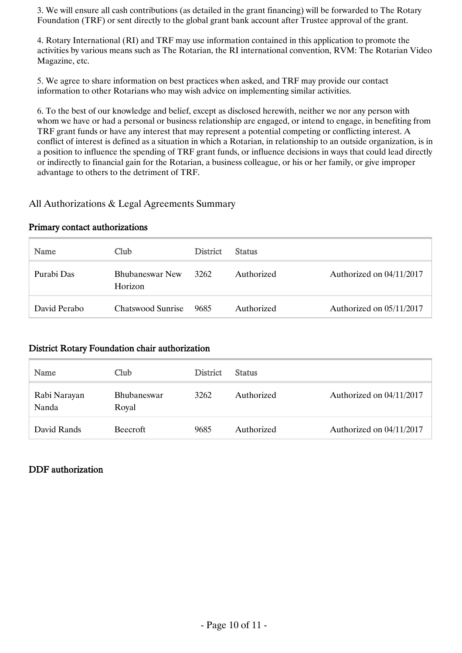3. We will ensure all cash contributions (as detailed in the grant financing) will be forwarded to The Rotary Foundation (TRF) or sent directly to the global grant bank account after Trustee approval of the grant.

4. Rotary International (RI) and TRF may use information contained in this application to promote the activities by various means such as The Rotarian, the RI international convention, RVM: The Rotarian Video Magazine, etc.

5. We agree to share information on best practices when asked, and TRF may provide our contact information to other Rotarians who may wish advice on implementing similar activities.

6. To the best of our knowledge and belief, except as disclosed herewith, neither we nor any person with whom we have or had a personal or business relationship are engaged, or intend to engage, in benefiting from TRF grant funds or have any interest that may represent a potential competing or conflicting interest. A conflict of interest is defined as a situation in which a Rotarian, in relationship to an outside organization, is in a position to influence the spending of TRF grant funds, or influence decisions in ways that could lead directly or indirectly to financial gain for the Rotarian, a business colleague, or his or her family, or give improper advantage to others to the detriment of TRF.

#### All Authorizations & Legal Agreements Summary

#### Primary contact authorizations

| Name         | Club                              | <b>District</b> | <b>Status</b> |                          |
|--------------|-----------------------------------|-----------------|---------------|--------------------------|
| Purabi Das   | <b>Bhubaneswar New</b><br>Horizon | 3262            | Authorized    | Authorized on 04/11/2017 |
| David Perabo | Chatswood Sunrise                 | 9685            | Authorized    | Authorized on 05/11/2017 |

#### District Rotary Foundation chair authorization

| Name                  | Club                        | <b>District</b> | <b>Status</b> |                          |
|-----------------------|-----------------------------|-----------------|---------------|--------------------------|
| Rabi Narayan<br>Nanda | <b>Bhubaneswar</b><br>Royal | 3262            | Authorized    | Authorized on 04/11/2017 |
| David Rands           | <b>Beecroft</b>             | 9685            | Authorized    | Authorized on 04/11/2017 |

#### DDF authorization